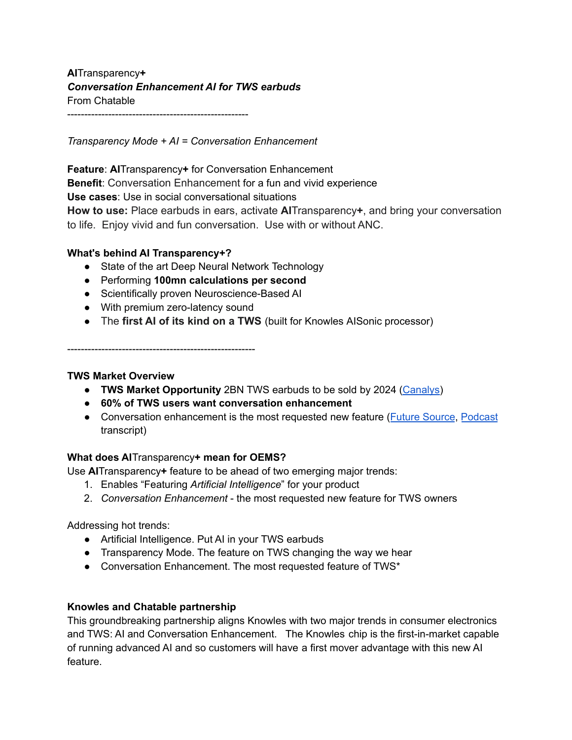**AI**Transparency**+** *Conversation Enhancement AI for TWS earbuds* From Chatable -----------------------------------------------------

*Transparency Mode + AI = Conversation Enhancement*

**Feature**: **AI**Transparency**+** for Conversation Enhancement **Benefit**: Conversation Enhancement for a fun and vivid experience **Use cases**: Use in social conversational situations **How to use:** Place earbuds in ears, activate **AI**Transparency**+**, and bring your conversation to life. Enjoy vivid and fun conversation. Use with or without ANC.

## **What's behind AI Transparency+?**

- State of the art Deep Neural Network Technology
- Performing **100mn calculations per second**
- Scientifically proven Neuroscience-Based AI
- With premium zero-latency sound
- The **first AI of its kind on a TWS** (built for Knowles AISonic processor)

-------------------------------------------------------

## **TWS Market Overview**

- **TWS Market Opportunity** 2BN TWS earbuds to be sold by 2024 [\(Canalys\)](https://www.canalys.com/newsroom/global-smart-accessories-market-2021-forecast)
- **60% of TWS users want conversation enhancement**
- Conversation enhancement is the most requested new feature (Future [Source](https://www.futuresource-consulting.com/insights/hearables-and-hearing-aids-the-hearing-health-market-mapped-out-by-futuresource-consulting/?locale=en), [Podcast](https://futurear.co/2021/02/18/060-luke-pearce-andy-bellavia-hearables-massive-growth-in-2020-whats-on-the-hearables-horizon/) transcript)

## **What does AI**Transparency**+ mean for OEMS?**

Use **AI**Transparency**+** feature to be ahead of two emerging major trends:

- 1. Enables "Featuring *Artificial Intelligence*" for your product
- 2. *Conversation Enhancement* the most requested new feature for TWS owners

Addressing hot trends:

- Artificial Intelligence. Put AI in your TWS earbuds
- Transparency Mode. The feature on TWS changing the way we hear
- Conversation Enhancement. The most requested feature of TWS\*

## **Knowles and Chatable partnership**

This groundbreaking partnership aligns Knowles with two major trends in consumer electronics and TWS: AI and Conversation Enhancement. The Knowles chip is the first-in-market capable of running advanced AI and so customers will have a first mover advantage with this new AI feature.